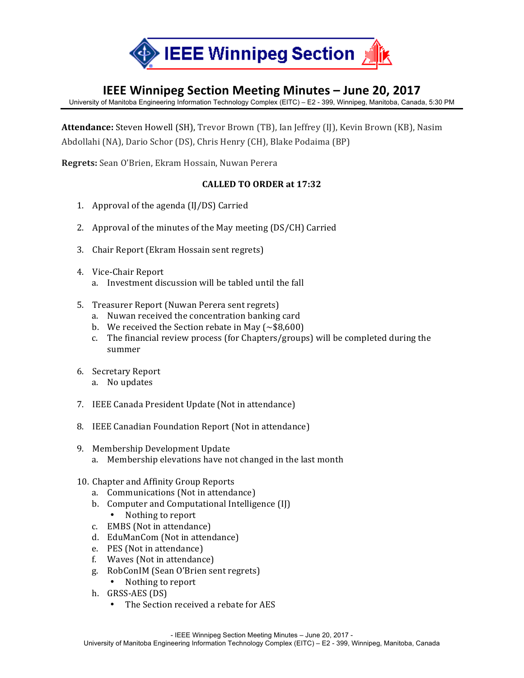

## **IEEE Winnipeg Section Meeting Minutes – June 20, 2017**

University of Manitoba Engineering Information Technology Complex (EITC) – E2 - 399, Winnipeg, Manitoba, Canada, 5:30 PM

Attendance: Steven Howell (SH), Trevor Brown (TB), Ian Jeffrey (IJ), Kevin Brown (KB), Nasim Abdollahi (NA), Dario Schor (DS), Chris Henry (CH), Blake Podaima (BP)

**Regrets:** Sean O'Brien, Ekram Hossain, Nuwan Perera

## **CALLED TO ORDER at 17:32**

- 1. Approval of the agenda  $(II/DS)$  Carried
- 2. Approval of the minutes of the May meeting (DS/CH) Carried
- 3. Chair Report (Ekram Hossain sent regrets)
- 4. Vice-Chair Report
	- a. Investment discussion will be tabled until the fall
- 5. Treasurer Report (Nuwan Perera sent regrets)
	- a. Nuwan received the concentration banking card
	- b. We received the Section rebate in May  $({\sim} $8,600)$
	- c. The financial review process (for Chapters/groups) will be completed during the summer
- 6. Secretary Report
	- a. No updates
- 7. IEEE Canada President Update (Not in attendance)
- 8. IEEE Canadian Foundation Report (Not in attendance)
- 9. Membership Development Update
	- a. Membership elevations have not changed in the last month
- 10. Chapter and Affinity Group Reports
	- a. Communications (Not in attendance)
	- b. Computer and Computational Intelligence (IJ)
		- Nothing to report
	- c. EMBS (Not in attendance)
	- d. EduManCom (Not in attendance)
	- e. PES (Not in attendance)
	- f. Waves (Not in attendance)
	- g. RobConIM (Sean O'Brien sent regrets)
		- Nothing to report
	- h. GRSS-AES (DS)
		- The Section received a rebate for AES